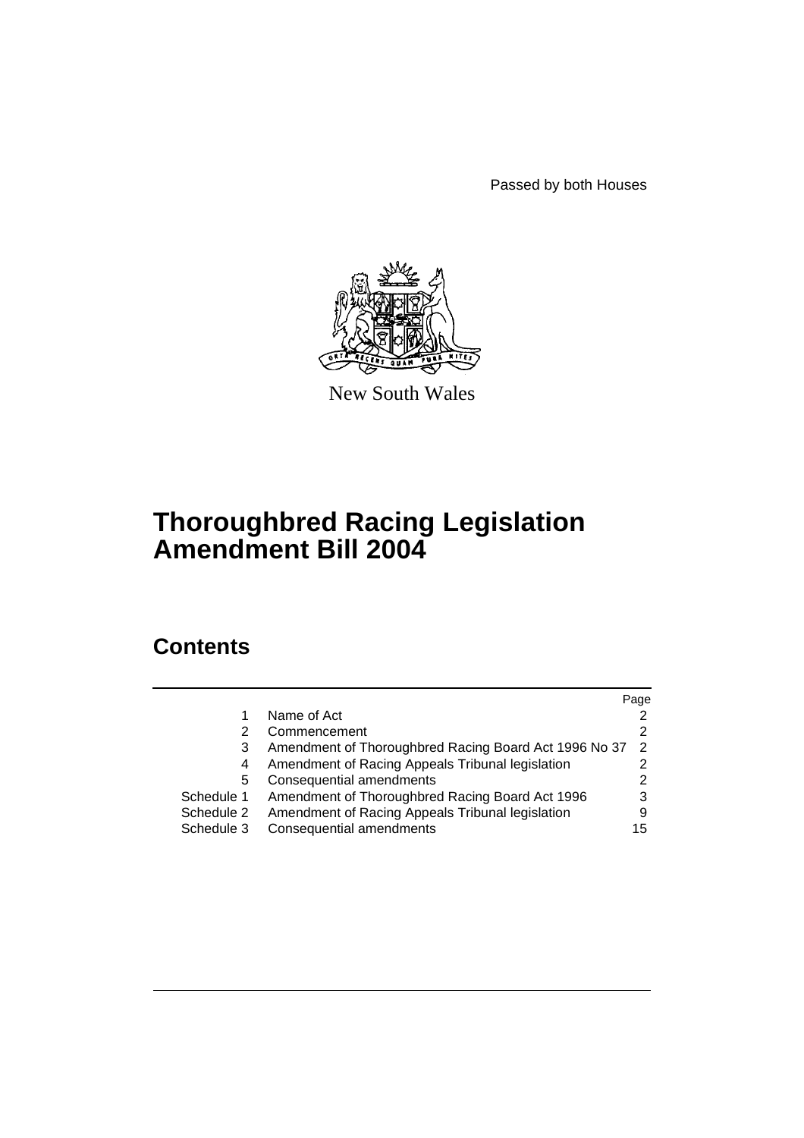Passed by both Houses



New South Wales

# **Thoroughbred Racing Legislation Amendment Bill 2004**

# **Contents**

|            |                                                       | Page          |
|------------|-------------------------------------------------------|---------------|
|            | Name of Act                                           |               |
| 2          | Commencement                                          |               |
| 3          | Amendment of Thoroughbred Racing Board Act 1996 No 37 | $\mathcal{P}$ |
| 4          | Amendment of Racing Appeals Tribunal legislation      |               |
| 5          | Consequential amendments                              | 2             |
| Schedule 1 | Amendment of Thoroughbred Racing Board Act 1996       | 3             |
| Schedule 2 | Amendment of Racing Appeals Tribunal legislation      |               |
| Schedule 3 | Consequential amendments                              | 15            |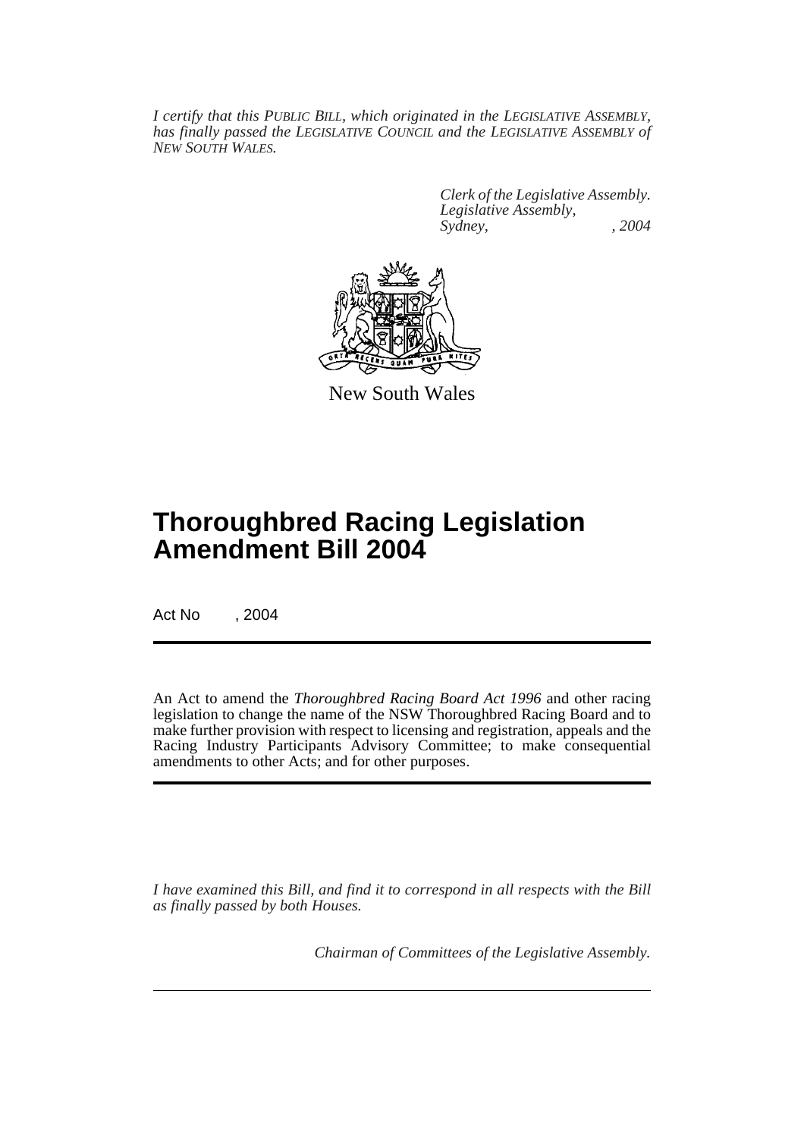*I certify that this PUBLIC BILL, which originated in the LEGISLATIVE ASSEMBLY, has finally passed the LEGISLATIVE COUNCIL and the LEGISLATIVE ASSEMBLY of NEW SOUTH WALES.*

> *Clerk of the Legislative Assembly. Legislative Assembly, Sydney, , 2004*



New South Wales

# **Thoroughbred Racing Legislation Amendment Bill 2004**

Act No , 2004

An Act to amend the *Thoroughbred Racing Board Act 1996* and other racing legislation to change the name of the NSW Thoroughbred Racing Board and to make further provision with respect to licensing and registration, appeals and the Racing Industry Participants Advisory Committee; to make consequential amendments to other Acts; and for other purposes.

*I have examined this Bill, and find it to correspond in all respects with the Bill as finally passed by both Houses.*

*Chairman of Committees of the Legislative Assembly.*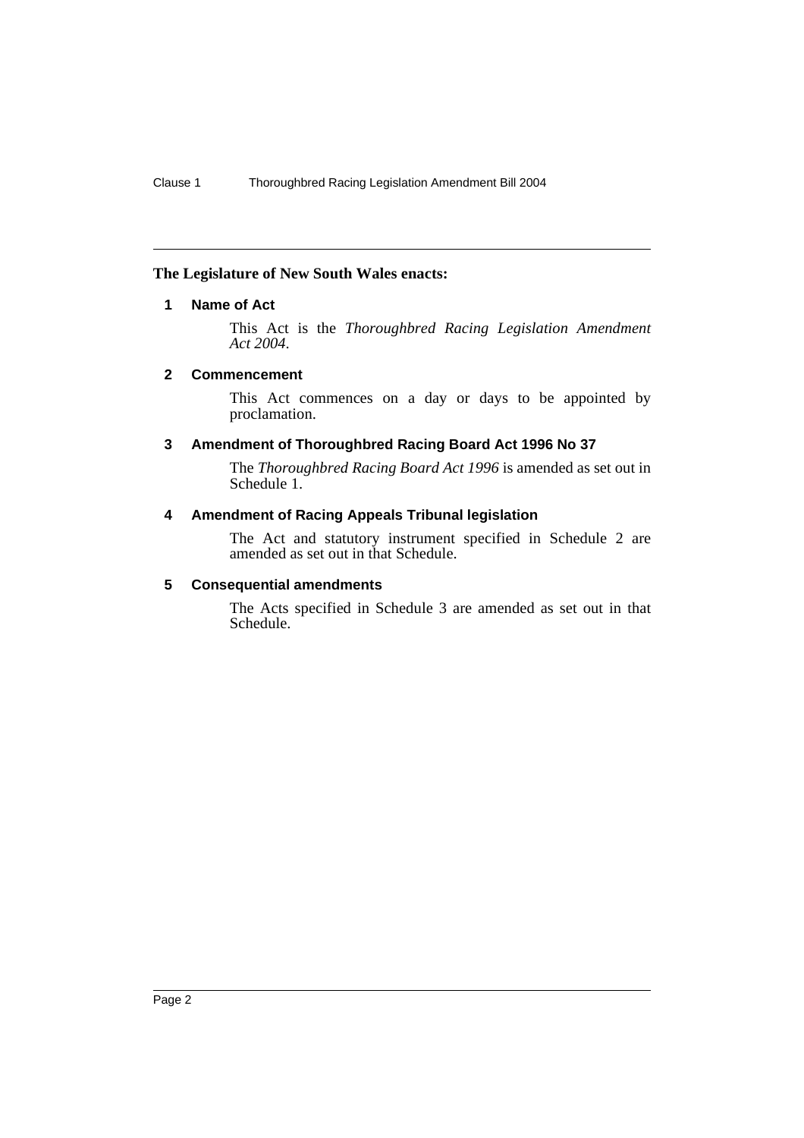#### **The Legislature of New South Wales enacts:**

### **1 Name of Act**

This Act is the *Thoroughbred Racing Legislation Amendment Act 2004*.

#### **2 Commencement**

This Act commences on a day or days to be appointed by proclamation.

#### **3 Amendment of Thoroughbred Racing Board Act 1996 No 37**

The *Thoroughbred Racing Board Act 1996* is amended as set out in Schedule 1.

#### **4 Amendment of Racing Appeals Tribunal legislation**

The Act and statutory instrument specified in Schedule 2 are amended as set out in that Schedule.

#### **5 Consequential amendments**

The Acts specified in Schedule 3 are amended as set out in that Schedule.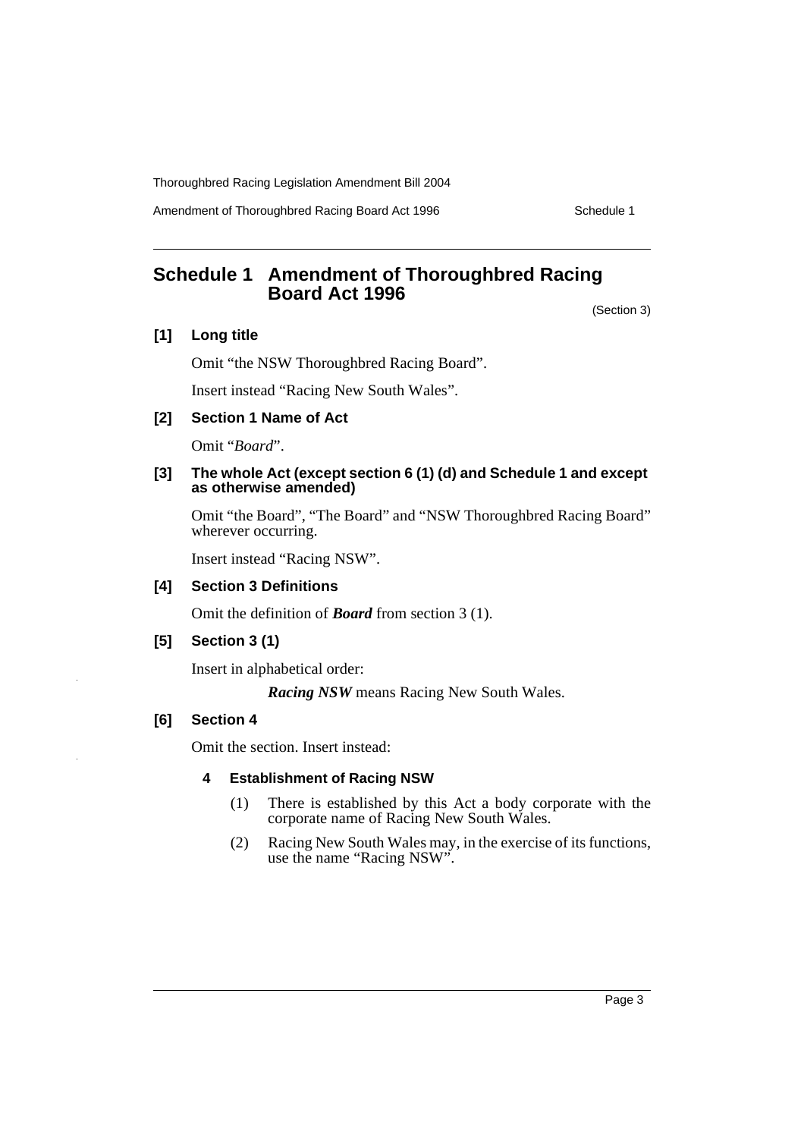Amendment of Thoroughbred Racing Board Act 1996 Schedule 1

# **Schedule 1 Amendment of Thoroughbred Racing Board Act 1996**

(Section 3)

### **[1] Long title**

Omit "the NSW Thoroughbred Racing Board".

Insert instead "Racing New South Wales".

#### **[2] Section 1 Name of Act**

Omit "*Board*".

#### **[3] The whole Act (except section 6 (1) (d) and Schedule 1 and except as otherwise amended)**

Omit "the Board", "The Board" and "NSW Thoroughbred Racing Board" wherever occurring.

Insert instead "Racing NSW".

#### **[4] Section 3 Definitions**

Omit the definition of *Board* from section 3 (1).

#### **[5] Section 3 (1)**

Insert in alphabetical order:

*Racing NSW* means Racing New South Wales.

## **[6] Section 4**

Omit the section. Insert instead:

#### **4 Establishment of Racing NSW**

- (1) There is established by this Act a body corporate with the corporate name of Racing New South Wales.
- (2) Racing New South Wales may, in the exercise of its functions, use the name "Racing NSW".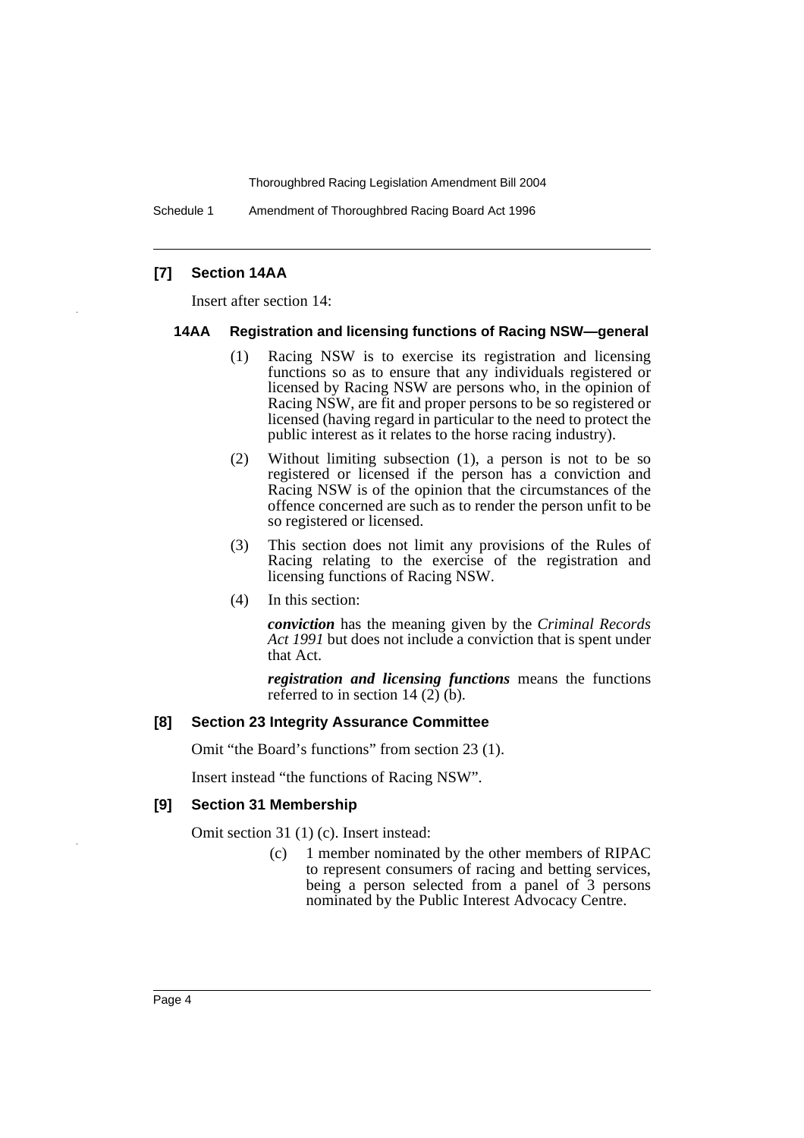Schedule 1 Amendment of Thoroughbred Racing Board Act 1996

#### **[7] Section 14AA**

Insert after section 14:

#### **14AA Registration and licensing functions of Racing NSW—general**

- (1) Racing NSW is to exercise its registration and licensing functions so as to ensure that any individuals registered or licensed by Racing NSW are persons who, in the opinion of Racing NSW, are fit and proper persons to be so registered or licensed (having regard in particular to the need to protect the public interest as it relates to the horse racing industry).
- (2) Without limiting subsection (1), a person is not to be so registered or licensed if the person has a conviction and Racing NSW is of the opinion that the circumstances of the offence concerned are such as to render the person unfit to be so registered or licensed.
- (3) This section does not limit any provisions of the Rules of Racing relating to the exercise of the registration and licensing functions of Racing NSW.
- (4) In this section:

*conviction* has the meaning given by the *Criminal Records Act 1991* but does not include a conviction that is spent under that Act.

*registration and licensing functions* means the functions referred to in section 14  $(2)$  (b).

#### **[8] Section 23 Integrity Assurance Committee**

Omit "the Board's functions" from section 23 (1).

Insert instead "the functions of Racing NSW".

#### **[9] Section 31 Membership**

Omit section 31 (1) (c). Insert instead:

(c) 1 member nominated by the other members of RIPAC to represent consumers of racing and betting services, being a person selected from a panel of 3 persons nominated by the Public Interest Advocacy Centre.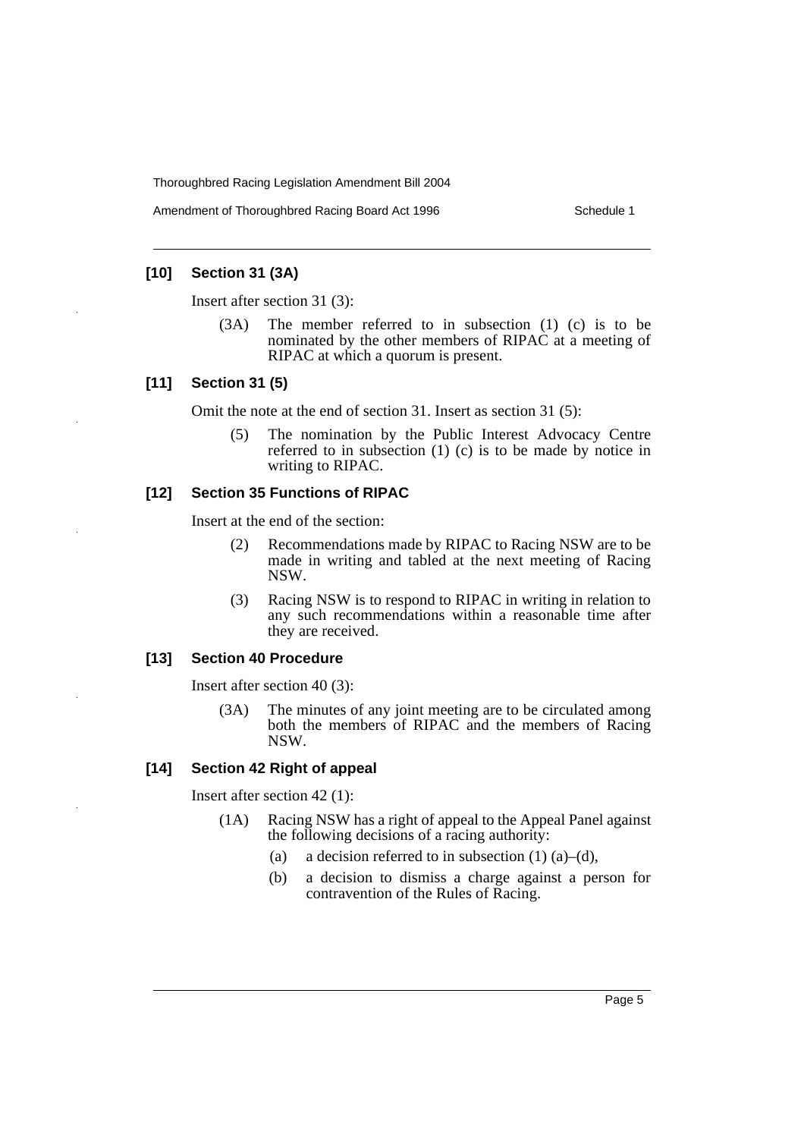Amendment of Thoroughbred Racing Board Act 1996 Schedule 1

#### **[10] Section 31 (3A)**

Insert after section 31 (3):

(3A) The member referred to in subsection (1) (c) is to be nominated by the other members of RIPAC at a meeting of RIPAC at which a quorum is present.

#### **[11] Section 31 (5)**

Omit the note at the end of section 31. Insert as section 31 (5):

(5) The nomination by the Public Interest Advocacy Centre referred to in subsection (1) (c) is to be made by notice in writing to RIPAC.

#### **[12] Section 35 Functions of RIPAC**

Insert at the end of the section:

- (2) Recommendations made by RIPAC to Racing NSW are to be made in writing and tabled at the next meeting of Racing NSW.
- (3) Racing NSW is to respond to RIPAC in writing in relation to any such recommendations within a reasonable time after they are received.

#### **[13] Section 40 Procedure**

Insert after section 40 (3):

(3A) The minutes of any joint meeting are to be circulated among both the members of RIPAC and the members of Racing NSW.

#### **[14] Section 42 Right of appeal**

Insert after section 42 (1):

- (1A) Racing NSW has a right of appeal to the Appeal Panel against the following decisions of a racing authority:
	- (a) a decision referred to in subsection  $(1)$   $(a)$ – $(d)$ ,
	- (b) a decision to dismiss a charge against a person for contravention of the Rules of Racing.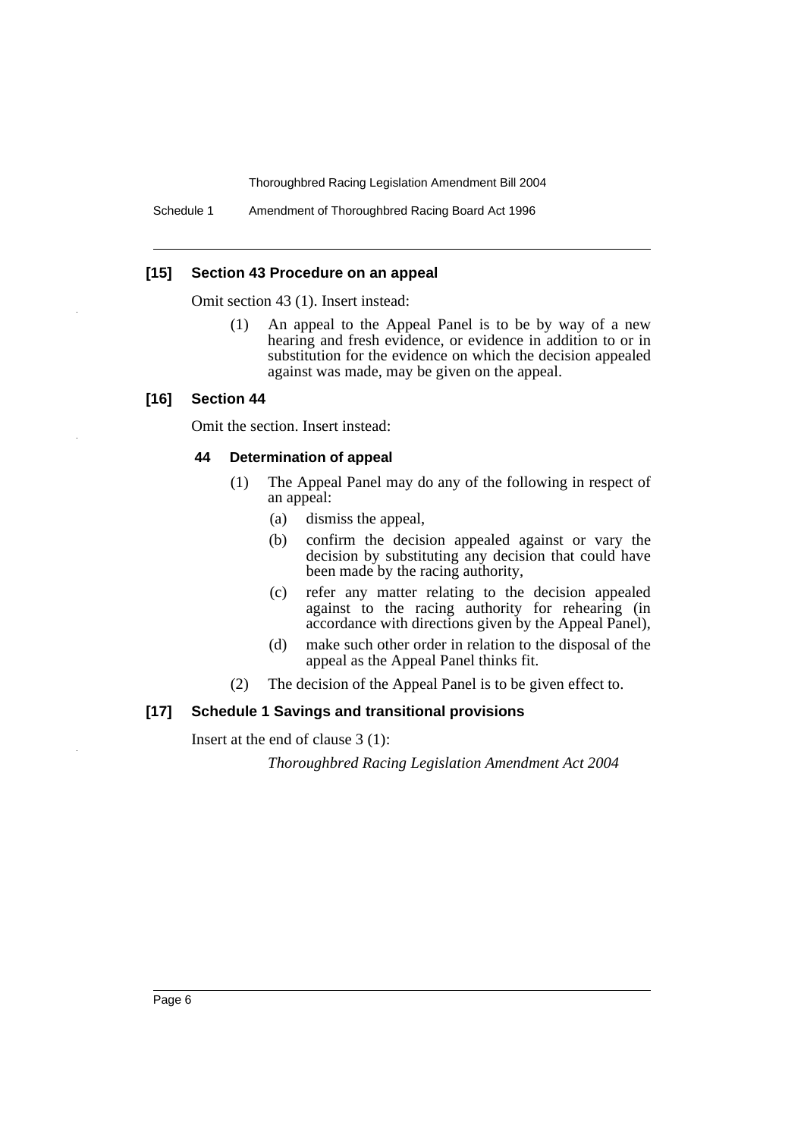Schedule 1 Amendment of Thoroughbred Racing Board Act 1996

#### **[15] Section 43 Procedure on an appeal**

Omit section 43 (1). Insert instead:

(1) An appeal to the Appeal Panel is to be by way of a new hearing and fresh evidence, or evidence in addition to or in substitution for the evidence on which the decision appealed against was made, may be given on the appeal.

#### **[16] Section 44**

Omit the section. Insert instead:

#### **44 Determination of appeal**

- (1) The Appeal Panel may do any of the following in respect of an appeal:
	- (a) dismiss the appeal,
	- (b) confirm the decision appealed against or vary the decision by substituting any decision that could have been made by the racing authority,
	- (c) refer any matter relating to the decision appealed against to the racing authority for rehearing (in accordance with directions given by the Appeal Panel),
	- (d) make such other order in relation to the disposal of the appeal as the Appeal Panel thinks fit.
- (2) The decision of the Appeal Panel is to be given effect to.

#### **[17] Schedule 1 Savings and transitional provisions**

Insert at the end of clause 3 (1):

*Thoroughbred Racing Legislation Amendment Act 2004*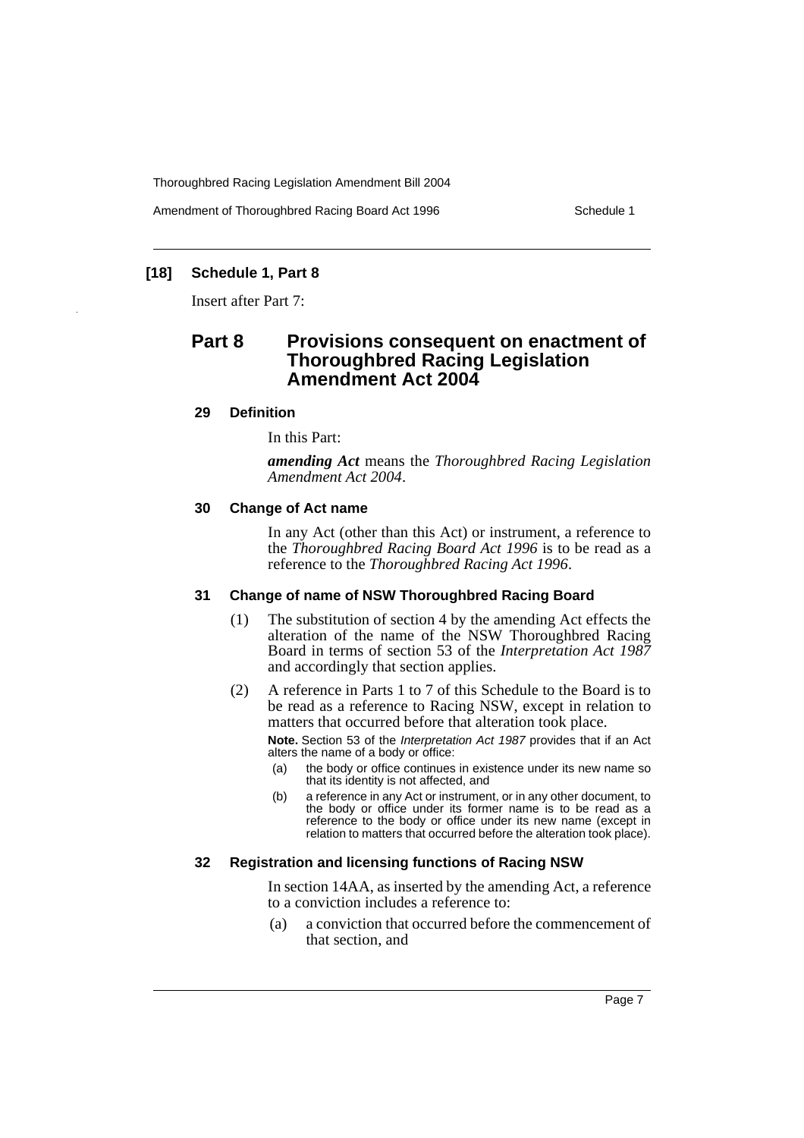Amendment of Thoroughbred Racing Board Act 1996 Schedule 1

# **[18] Schedule 1, Part 8**

Insert after Part 7:

# **Part 8 Provisions consequent on enactment of Thoroughbred Racing Legislation Amendment Act 2004**

#### **29 Definition**

In this Part:

*amending Act* means the *Thoroughbred Racing Legislation Amendment Act 2004*.

#### **30 Change of Act name**

In any Act (other than this Act) or instrument, a reference to the *Thoroughbred Racing Board Act 1996* is to be read as a reference to the *Thoroughbred Racing Act 1996*.

#### **31 Change of name of NSW Thoroughbred Racing Board**

- (1) The substitution of section 4 by the amending Act effects the alteration of the name of the NSW Thoroughbred Racing Board in terms of section 53 of the *Interpretation Act 1987* and accordingly that section applies.
- (2) A reference in Parts 1 to 7 of this Schedule to the Board is to be read as a reference to Racing NSW, except in relation to matters that occurred before that alteration took place.

**Note.** Section 53 of the *Interpretation Act 1987* provides that if an Act alters the name of a body or office:

- (a) the body or office continues in existence under its new name so that its identity is not affected, and
- (b) a reference in any Act or instrument, or in any other document, to the body or office under its former name is to be read as a reference to the body or office under its new name (except in relation to matters that occurred before the alteration took place).

#### **32 Registration and licensing functions of Racing NSW**

In section 14AA, as inserted by the amending Act, a reference to a conviction includes a reference to:

(a) a conviction that occurred before the commencement of that section, and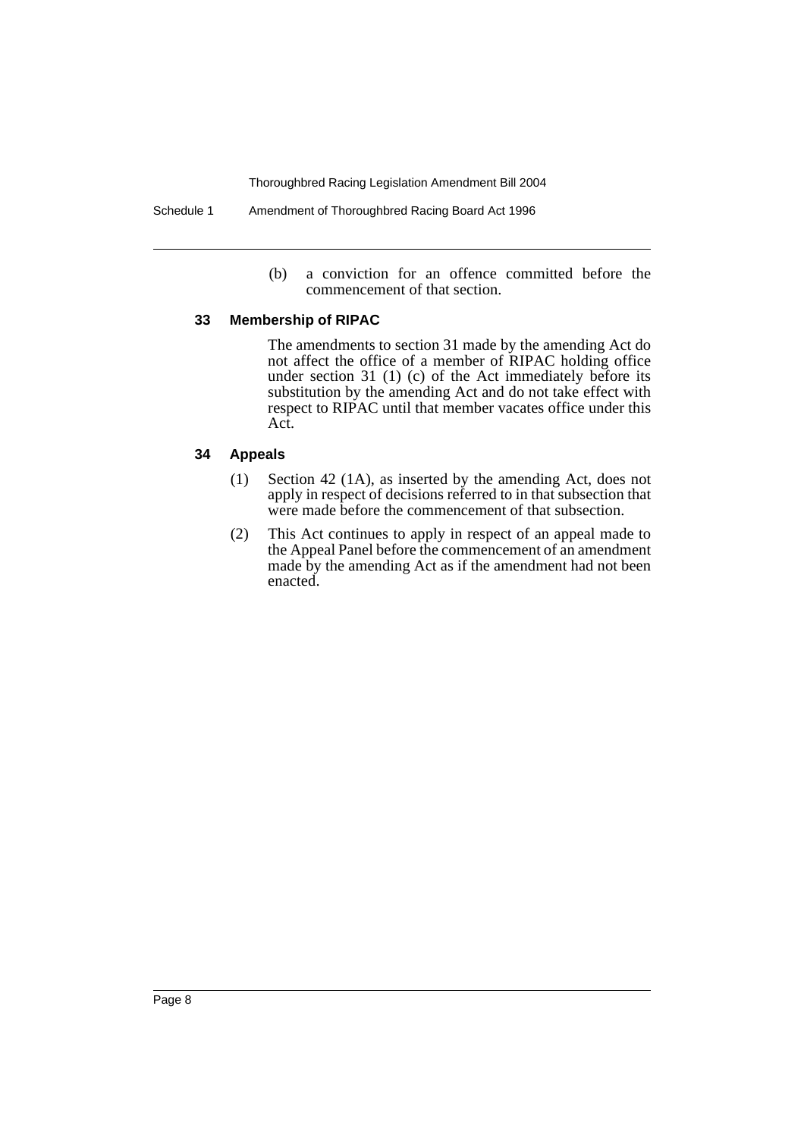Schedule 1 Amendment of Thoroughbred Racing Board Act 1996

(b) a conviction for an offence committed before the commencement of that section.

#### **33 Membership of RIPAC**

The amendments to section 31 made by the amending Act do not affect the office of a member of RIPAC holding office under section 31 (1) (c) of the Act immediately before its substitution by the amending Act and do not take effect with respect to RIPAC until that member vacates office under this Act.

#### **34 Appeals**

- (1) Section 42 (1A), as inserted by the amending Act, does not apply in respect of decisions referred to in that subsection that were made before the commencement of that subsection.
- (2) This Act continues to apply in respect of an appeal made to the Appeal Panel before the commencement of an amendment made by the amending Act as if the amendment had not been enacted.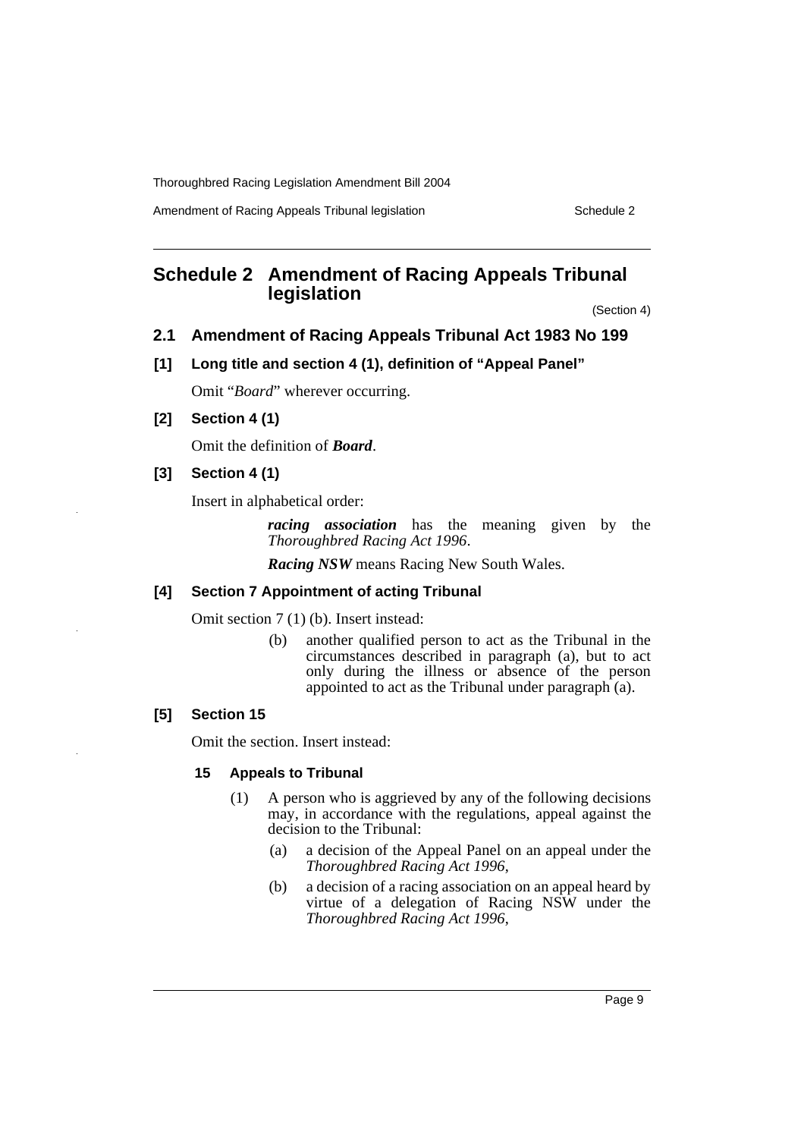Amendment of Racing Appeals Tribunal legislation Schedule 2

# **Schedule 2 Amendment of Racing Appeals Tribunal legislation**

(Section 4)

# **2.1 Amendment of Racing Appeals Tribunal Act 1983 No 199**

#### **[1] Long title and section 4 (1), definition of "Appeal Panel"**

Omit "*Board*" wherever occurring.

**[2] Section 4 (1)**

Omit the definition of *Board*.

### **[3] Section 4 (1)**

Insert in alphabetical order:

*racing association* has the meaning given by the *Thoroughbred Racing Act 1996*.

*Racing NSW* means Racing New South Wales.

#### **[4] Section 7 Appointment of acting Tribunal**

Omit section 7 (1) (b). Insert instead:

(b) another qualified person to act as the Tribunal in the circumstances described in paragraph (a), but to act only during the illness or absence of the person appointed to act as the Tribunal under paragraph (a).

## **[5] Section 15**

Omit the section. Insert instead:

#### **15 Appeals to Tribunal**

- (1) A person who is aggrieved by any of the following decisions may, in accordance with the regulations, appeal against the decision to the Tribunal:
	- (a) a decision of the Appeal Panel on an appeal under the *Thoroughbred Racing Act 1996*,
	- (b) a decision of a racing association on an appeal heard by virtue of a delegation of Racing NSW under the *Thoroughbred Racing Act 1996*,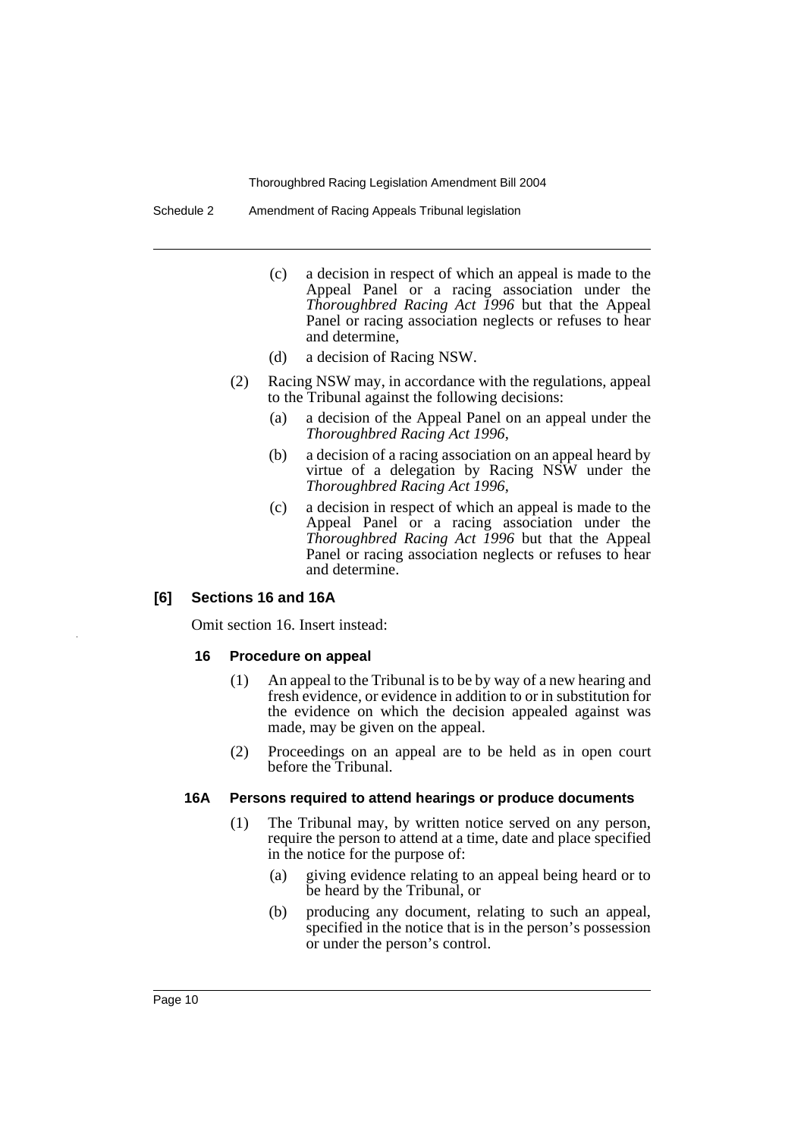Schedule 2 Amendment of Racing Appeals Tribunal legislation

- (c) a decision in respect of which an appeal is made to the Appeal Panel or a racing association under the *Thoroughbred Racing Act 1996* but that the Appeal Panel or racing association neglects or refuses to hear and determine,
- (d) a decision of Racing NSW.
- (2) Racing NSW may, in accordance with the regulations, appeal to the Tribunal against the following decisions:
	- (a) a decision of the Appeal Panel on an appeal under the *Thoroughbred Racing Act 1996*,
	- (b) a decision of a racing association on an appeal heard by virtue of a delegation by Racing NSW under the *Thoroughbred Racing Act 1996*,
	- (c) a decision in respect of which an appeal is made to the Appeal Panel or a racing association under the *Thoroughbred Racing Act 1996* but that the Appeal Panel or racing association neglects or refuses to hear and determine.

#### **[6] Sections 16 and 16A**

Omit section 16. Insert instead:

#### **16 Procedure on appeal**

- (1) An appeal to the Tribunal is to be by way of a new hearing and fresh evidence, or evidence in addition to or in substitution for the evidence on which the decision appealed against was made, may be given on the appeal.
- (2) Proceedings on an appeal are to be held as in open court before the Tribunal.

#### **16A Persons required to attend hearings or produce documents**

- (1) The Tribunal may, by written notice served on any person, require the person to attend at a time, date and place specified in the notice for the purpose of:
	- (a) giving evidence relating to an appeal being heard or to be heard by the Tribunal, or
	- (b) producing any document, relating to such an appeal, specified in the notice that is in the person's possession or under the person's control.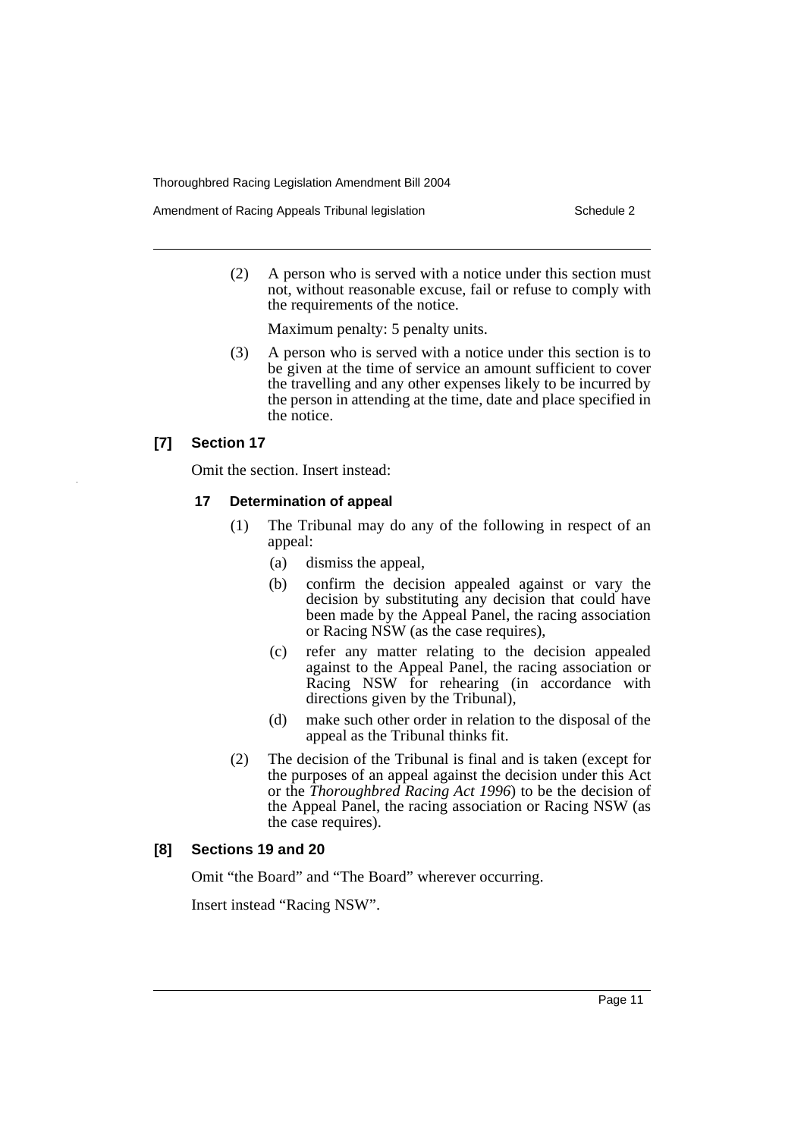Amendment of Racing Appeals Tribunal legislation Schedule 2

(2) A person who is served with a notice under this section must not, without reasonable excuse, fail or refuse to comply with the requirements of the notice.

Maximum penalty: 5 penalty units.

(3) A person who is served with a notice under this section is to be given at the time of service an amount sufficient to cover the travelling and any other expenses likely to be incurred by the person in attending at the time, date and place specified in the notice.

#### **[7] Section 17**

Omit the section. Insert instead:

#### **17 Determination of appeal**

- (1) The Tribunal may do any of the following in respect of an appeal:
	- (a) dismiss the appeal,
	- (b) confirm the decision appealed against or vary the decision by substituting any decision that could have been made by the Appeal Panel, the racing association or Racing NSW (as the case requires),
	- (c) refer any matter relating to the decision appealed against to the Appeal Panel, the racing association or Racing NSW for rehearing (in accordance with directions given by the Tribunal),
	- (d) make such other order in relation to the disposal of the appeal as the Tribunal thinks fit.
- (2) The decision of the Tribunal is final and is taken (except for the purposes of an appeal against the decision under this Act or the *Thoroughbred Racing Act 1996*) to be the decision of the Appeal Panel, the racing association or Racing NSW (as the case requires).

#### **[8] Sections 19 and 20**

Omit "the Board" and "The Board" wherever occurring.

Insert instead "Racing NSW".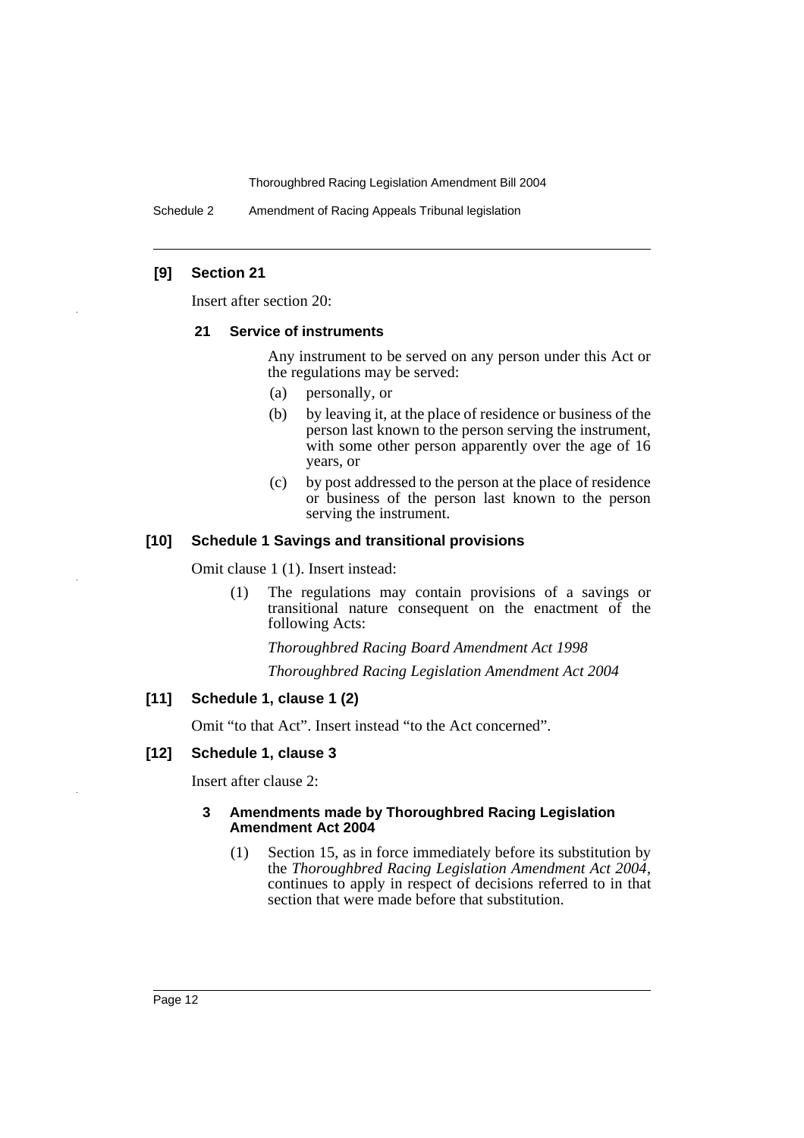Schedule 2 Amendment of Racing Appeals Tribunal legislation

#### **[9] Section 21**

Insert after section 20:

#### **21 Service of instruments**

Any instrument to be served on any person under this Act or the regulations may be served:

- (a) personally, or
- (b) by leaving it, at the place of residence or business of the person last known to the person serving the instrument, with some other person apparently over the age of 16 years, or
- (c) by post addressed to the person at the place of residence or business of the person last known to the person serving the instrument.

#### **[10] Schedule 1 Savings and transitional provisions**

Omit clause 1 (1). Insert instead:

(1) The regulations may contain provisions of a savings or transitional nature consequent on the enactment of the following Acts:

*Thoroughbred Racing Board Amendment Act 1998*

*Thoroughbred Racing Legislation Amendment Act 2004*

#### **[11] Schedule 1, clause 1 (2)**

Omit "to that Act". Insert instead "to the Act concerned".

#### **[12] Schedule 1, clause 3**

Insert after clause 2:

#### **3 Amendments made by Thoroughbred Racing Legislation Amendment Act 2004**

(1) Section 15, as in force immediately before its substitution by the *Thoroughbred Racing Legislation Amendment Act 2004*, continues to apply in respect of decisions referred to in that section that were made before that substitution.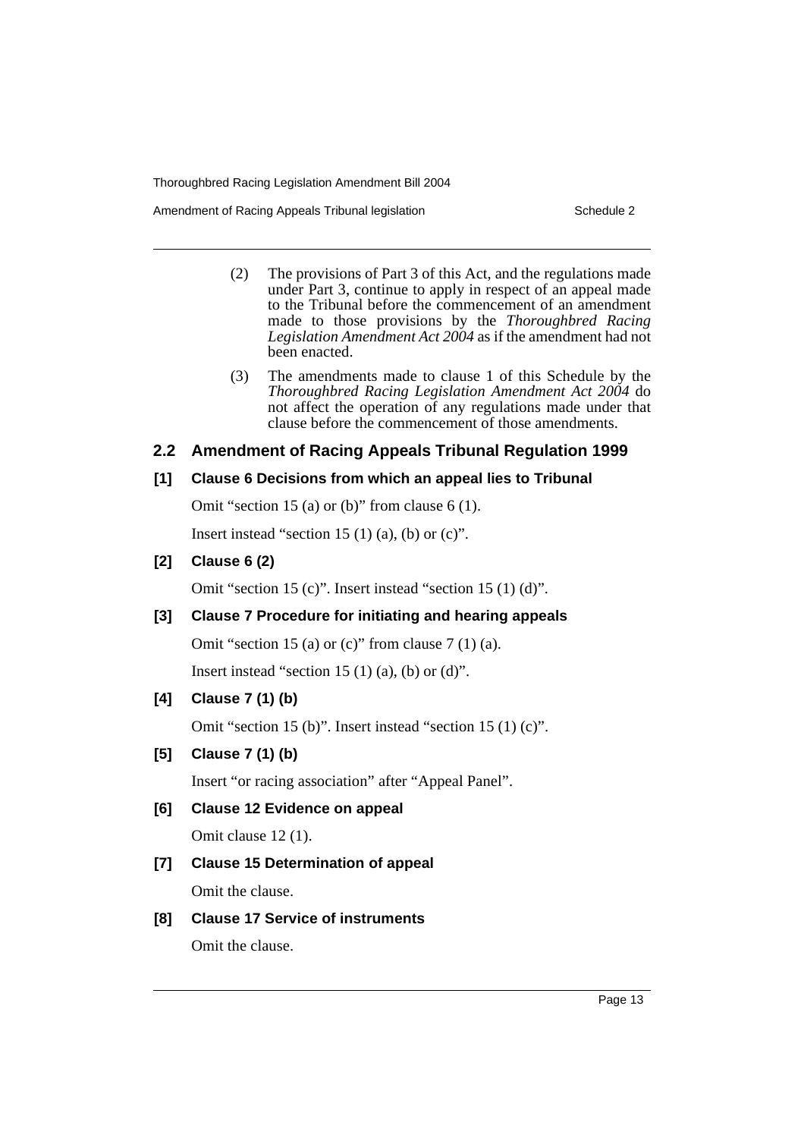Amendment of Racing Appeals Tribunal legislation Schedule 2

- (2) The provisions of Part 3 of this Act, and the regulations made under Part 3, continue to apply in respect of an appeal made to the Tribunal before the commencement of an amendment made to those provisions by the *Thoroughbred Racing Legislation Amendment Act 2004* as if the amendment had not been enacted.
- (3) The amendments made to clause 1 of this Schedule by the *Thoroughbred Racing Legislation Amendment Act 2004* do not affect the operation of any regulations made under that clause before the commencement of those amendments.

# **2.2 Amendment of Racing Appeals Tribunal Regulation 1999**

# **[1] Clause 6 Decisions from which an appeal lies to Tribunal**

Omit "section 15 (a) or (b)" from clause 6 (1).

Insert instead "section 15  $(1)$   $(a)$ ,  $(b)$  or  $(c)$ ".

# **[2] Clause 6 (2)**

Omit "section 15 (c)". Insert instead "section 15 (1) (d)".

# **[3] Clause 7 Procedure for initiating and hearing appeals**

Omit "section 15 (a) or  $(c)$ " from clause 7 (1) (a).

Insert instead "section 15  $(1)$   $(a)$ ,  $(b)$  or  $(d)$ ".

# **[4] Clause 7 (1) (b)**

Omit "section 15 (b)". Insert instead "section 15 (1) (c)".

# **[5] Clause 7 (1) (b)**

Insert "or racing association" after "Appeal Panel".

# **[6] Clause 12 Evidence on appeal**

Omit clause 12 (1).

# **[7] Clause 15 Determination of appeal**

Omit the clause.

# **[8] Clause 17 Service of instruments**

Omit the clause.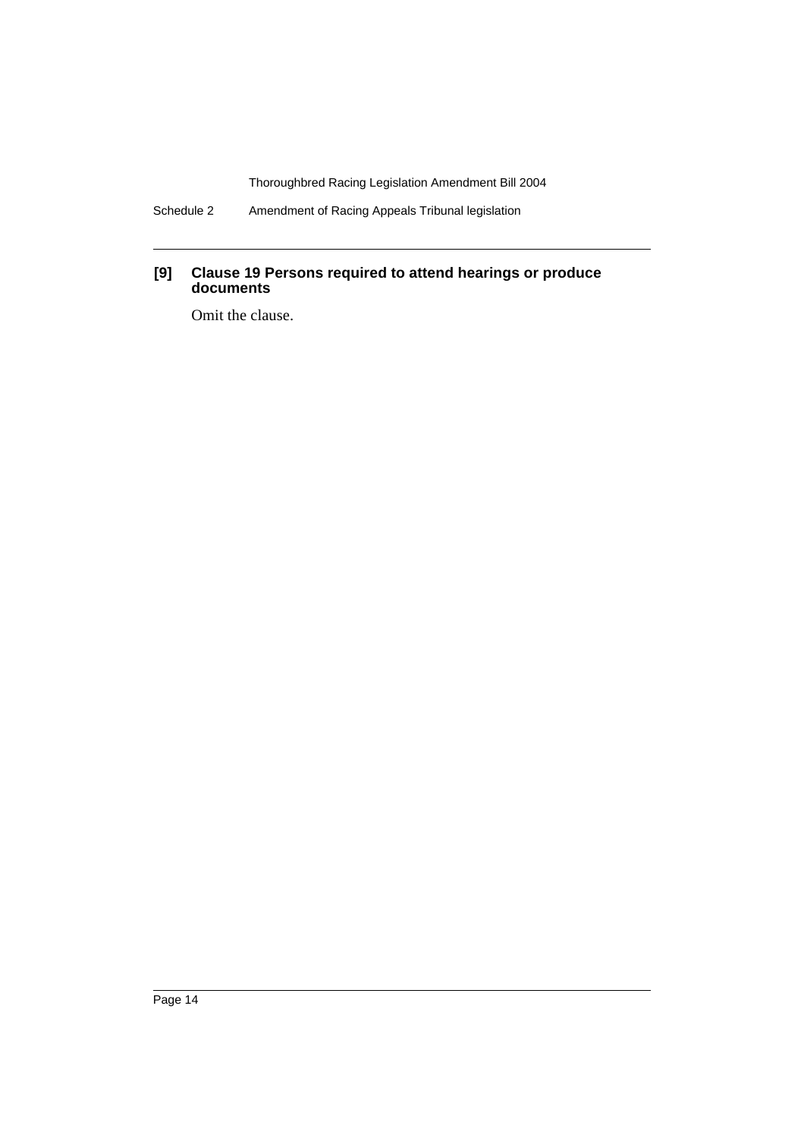Schedule 2 Amendment of Racing Appeals Tribunal legislation

#### **[9] Clause 19 Persons required to attend hearings or produce documents**

Omit the clause.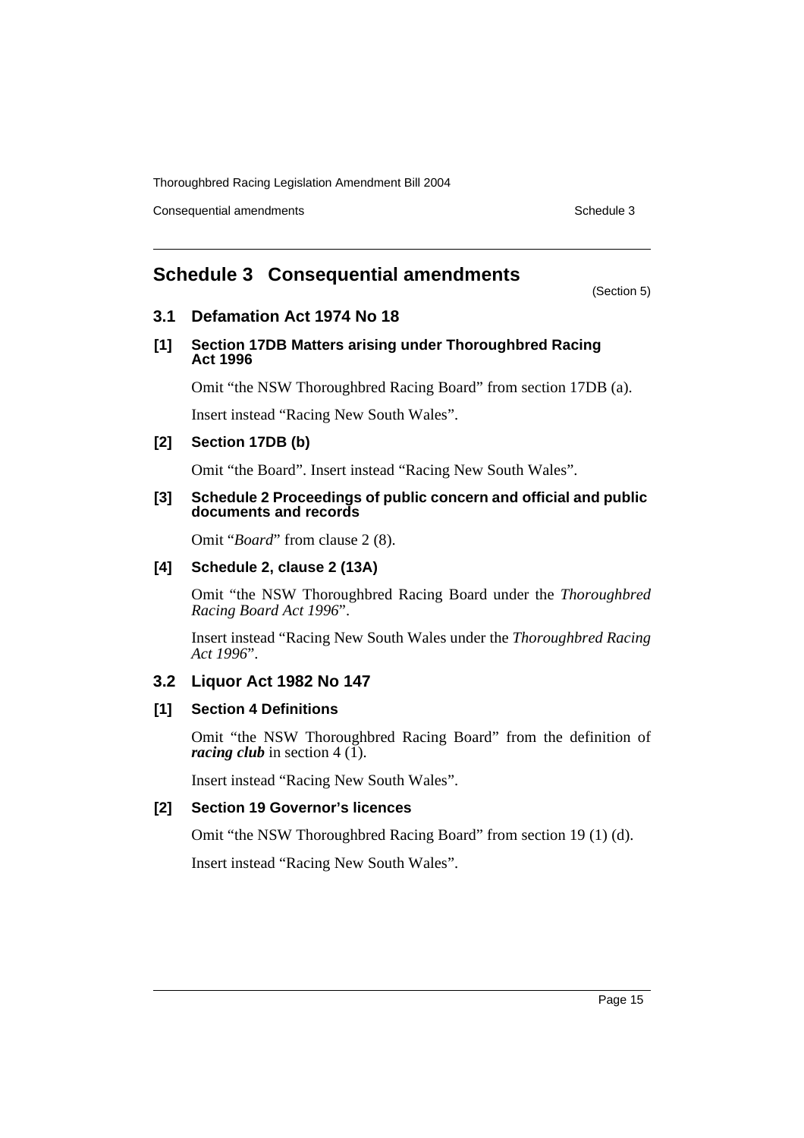Consequential amendments **Schedule 3** Schedule 3

(Section 5)

# **Schedule 3 Consequential amendments**

# **3.1 Defamation Act 1974 No 18**

#### **[1] Section 17DB Matters arising under Thoroughbred Racing Act 1996**

Omit "the NSW Thoroughbred Racing Board" from section 17DB (a).

Insert instead "Racing New South Wales".

# **[2] Section 17DB (b)**

Omit "the Board". Insert instead "Racing New South Wales".

#### **[3] Schedule 2 Proceedings of public concern and official and public documents and records**

Omit "*Board*" from clause 2 (8).

### **[4] Schedule 2, clause 2 (13A)**

Omit "the NSW Thoroughbred Racing Board under the *Thoroughbred Racing Board Act 1996*".

Insert instead "Racing New South Wales under the *Thoroughbred Racing Act 1996*".

# **3.2 Liquor Act 1982 No 147**

# **[1] Section 4 Definitions**

Omit "the NSW Thoroughbred Racing Board" from the definition of *racing club* in section  $4(\overline{1})$ .

Insert instead "Racing New South Wales".

# **[2] Section 19 Governor's licences**

Omit "the NSW Thoroughbred Racing Board" from section 19 (1) (d).

Insert instead "Racing New South Wales".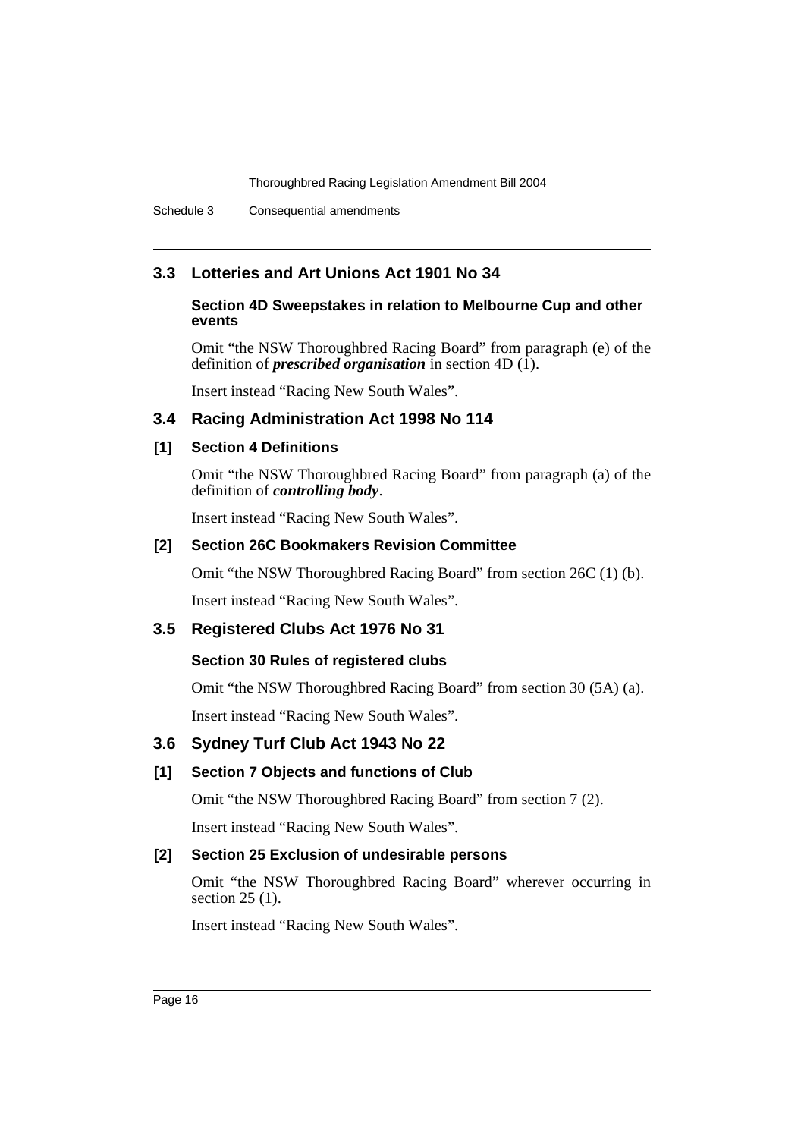# **3.3 Lotteries and Art Unions Act 1901 No 34**

### **Section 4D Sweepstakes in relation to Melbourne Cup and other events**

Omit "the NSW Thoroughbred Racing Board" from paragraph (e) of the definition of *prescribed organisation* in section 4D (1).

Insert instead "Racing New South Wales".

# **3.4 Racing Administration Act 1998 No 114**

### **[1] Section 4 Definitions**

Omit "the NSW Thoroughbred Racing Board" from paragraph (a) of the definition of *controlling body*.

Insert instead "Racing New South Wales".

#### **[2] Section 26C Bookmakers Revision Committee**

Omit "the NSW Thoroughbred Racing Board" from section 26C (1) (b).

Insert instead "Racing New South Wales".

#### **3.5 Registered Clubs Act 1976 No 31**

#### **Section 30 Rules of registered clubs**

Omit "the NSW Thoroughbred Racing Board" from section 30 (5A) (a).

Insert instead "Racing New South Wales".

# **3.6 Sydney Turf Club Act 1943 No 22**

#### **[1] Section 7 Objects and functions of Club**

Omit "the NSW Thoroughbred Racing Board" from section 7 (2).

Insert instead "Racing New South Wales".

# **[2] Section 25 Exclusion of undesirable persons**

Omit "the NSW Thoroughbred Racing Board" wherever occurring in section 25 (1).

Insert instead "Racing New South Wales".